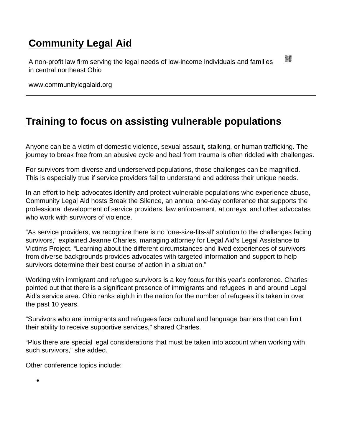## [Community Legal Aid](https://www.communitylegalaid.org/)

A non-profit law firm serving the legal needs of low-income individuals and families in central northeast Ohio

www.communitylegalaid.org

## [Training to focus on assisting vulnerable populations](https://www.communitylegalaid.org/node/1701/training-focus-assisting-vulnerable-populations)

Anyone can be a victim of domestic violence, sexual assault, stalking, or human trafficking. The journey to break free from an abusive cycle and heal from trauma is often riddled with challenges.

For survivors from diverse and underserved populations, those challenges can be magnified. This is especially true if service providers fail to understand and address their unique needs.

In an effort to help advocates identify and protect vulnerable populations who experience abuse, Community Legal Aid hosts Break the Silence, an annual one-day conference that supports the professional development of service providers, law enforcement, attorneys, and other advocates who work with survivors of violence.

"As service providers, we recognize there is no 'one-size-fits-all' solution to the challenges facing survivors," explained Jeanne Charles, managing attorney for Legal Aid's Legal Assistance to Victims Project. "Learning about the different circumstances and lived experiences of survivors from diverse backgrounds provides advocates with targeted information and support to help survivors determine their best course of action in a situation."

Working with immigrant and refugee survivors is a key focus for this year's conference. Charles pointed out that there is a significant presence of immigrants and refugees in and around Legal Aid's service area. Ohio ranks eighth in the nation for the number of refugees it's taken in over the past 10 years.

"Survivors who are immigrants and refugees face cultural and language barriers that can limit their ability to receive supportive services," shared Charles.

"Plus there are special legal considerations that must be taken into account when working with such survivors," she added.

Other conference topics include:

 $\bullet$